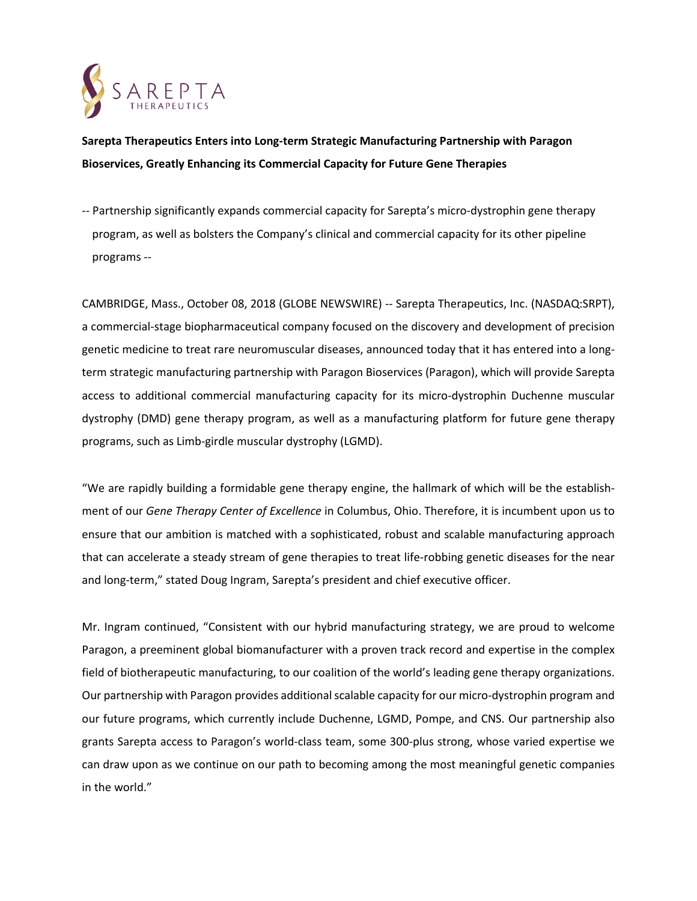

**Sarepta Therapeutics Enters into Long-term Strategic Manufacturing Partnership with Paragon Bioservices, Greatly Enhancing its Commercial Capacity for Future Gene Therapies**

-- Partnership significantly expands commercial capacity for Sarepta's micro-dystrophin gene therapy program, as well as bolsters the Company's clinical and commercial capacity for its other pipeline programs --

CAMBRIDGE, Mass., October 08, 2018 (GLOBE NEWSWIRE) -- Sarepta Therapeutics, Inc. (NASDAQ:SRPT), a commercial-stage biopharmaceutical company focused on the discovery and development of precision genetic medicine to treat rare neuromuscular diseases, announced today that it has entered into a longterm strategic manufacturing partnership with Paragon Bioservices (Paragon), which will provide Sarepta access to additional commercial manufacturing capacity for its micro-dystrophin Duchenne muscular dystrophy (DMD) gene therapy program, as well as a manufacturing platform for future gene therapy programs, such as Limb-girdle muscular dystrophy (LGMD).

"We are rapidly building a formidable gene therapy engine, the hallmark of which will be the establishment of our *Gene Therapy Center of Excellence* in Columbus, Ohio. Therefore, it is incumbent upon us to ensure that our ambition is matched with a sophisticated, robust and scalable manufacturing approach that can accelerate a steady stream of gene therapies to treat life-robbing genetic diseases for the near and long-term," stated Doug Ingram, Sarepta's president and chief executive officer.

Mr. Ingram continued, "Consistent with our hybrid manufacturing strategy, we are proud to welcome Paragon, a preeminent global biomanufacturer with a proven track record and expertise in the complex field of biotherapeutic manufacturing, to our coalition of the world's leading gene therapy organizations. Our partnership with Paragon provides additional scalable capacity for our micro-dystrophin program and our future programs, which currently include Duchenne, LGMD, Pompe, and CNS. Our partnership also grants Sarepta access to Paragon's world-class team, some 300-plus strong, whose varied expertise we can draw upon as we continue on our path to becoming among the most meaningful genetic companies in the world."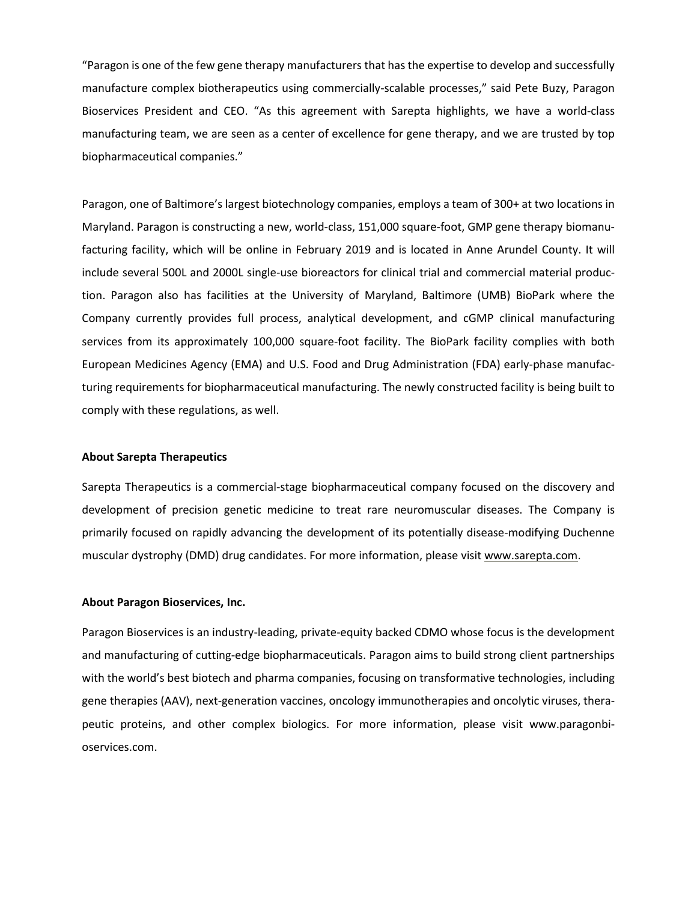"Paragon is one of the few gene therapy manufacturers that has the expertise to develop and successfully manufacture complex biotherapeutics using commercially-scalable processes," said Pete Buzy, Paragon Bioservices President and CEO. "As this agreement with Sarepta highlights, we have a world-class manufacturing team, we are seen as a center of excellence for gene therapy, and we are trusted by top biopharmaceutical companies."

Paragon, one of Baltimore's largest biotechnology companies, employs a team of 300+ at two locations in Maryland. Paragon is constructing a new, world-class, 151,000 square-foot, GMP gene therapy biomanufacturing facility, which will be online in February 2019 and is located in Anne Arundel County. It will include several 500L and 2000L single-use bioreactors for clinical trial and commercial material production. Paragon also has facilities at the University of Maryland, Baltimore (UMB) BioPark where the Company currently provides full process, analytical development, and cGMP clinical manufacturing services from its approximately 100,000 square-foot facility. The BioPark facility complies with both European Medicines Agency (EMA) and U.S. Food and Drug Administration (FDA) early-phase manufacturing requirements for biopharmaceutical manufacturing. The newly constructed facility is being built to comply with these regulations, as well.

## **About Sarepta Therapeutics**

Sarepta Therapeutics is a commercial-stage biopharmaceutical company focused on the discovery and development of precision genetic medicine to treat rare neuromuscular diseases. The Company is primarily focused on rapidly advancing the development of its potentially disease-modifying Duchenne muscular dystrophy (DMD) drug candidates. For more information, please visit [www.sarepta.com.](http://www.sarepta.com/)

## **About Paragon Bioservices, Inc.**

Paragon Bioservices is an industry-leading, private-equity backed CDMO whose focus is the development and manufacturing of cutting-edge biopharmaceuticals. Paragon aims to build strong client partnerships with the world's best biotech and pharma companies, focusing on transformative technologies, including gene therapies (AAV), next-generation vaccines, oncology immunotherapies and oncolytic viruses, therapeutic proteins, and other complex biologics. For more information, please visit www.paragonbioservices.com.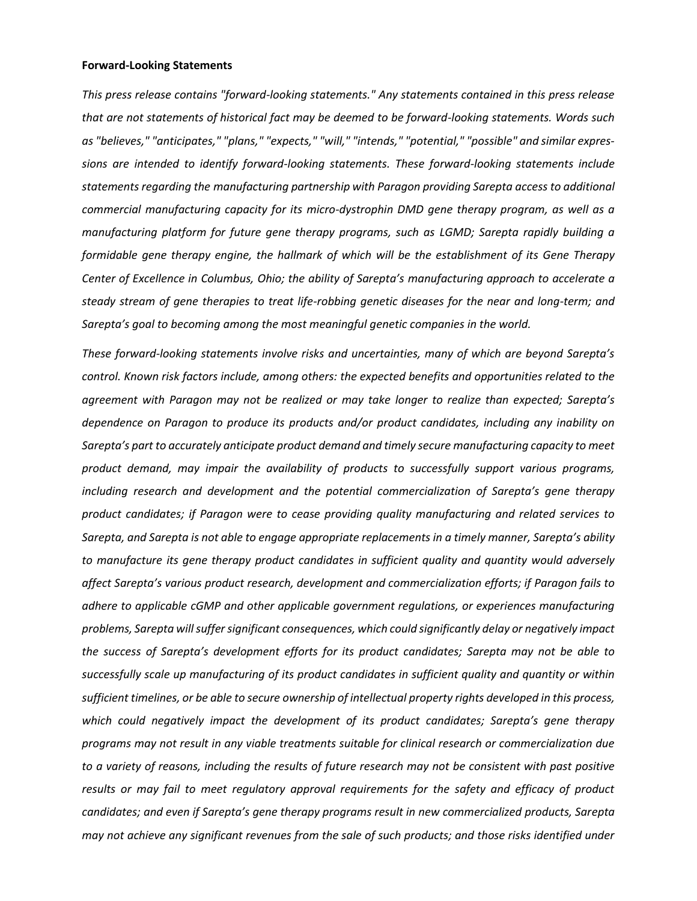## **Forward-Looking Statements**

*This press release contains "forward-looking statements." Any statements contained in this press release that are not statements of historical fact may be deemed to be forward-looking statements. Words such as "believes," "anticipates," "plans," "expects," "will," "intends," "potential," "possible" and similar expressions are intended to identify forward-looking statements. These forward-looking statements include statements regarding the manufacturing partnership with Paragon providing Sarepta access to additional commercial manufacturing capacity for its micro-dystrophin DMD gene therapy program, as well as a manufacturing platform for future gene therapy programs, such as LGMD; Sarepta rapidly building a formidable gene therapy engine, the hallmark of which will be the establishment of its Gene Therapy Center of Excellence in Columbus, Ohio; the ability of Sarepta's manufacturing approach to accelerate a steady stream of gene therapies to treat life-robbing genetic diseases for the near and long-term; and Sarepta's goal to becoming among the most meaningful genetic companies in the world.*

*These forward-looking statements involve risks and uncertainties, many of which are beyond Sarepta's control. Known risk factors include, among others: the expected benefits and opportunities related to the agreement with Paragon may not be realized or may take longer to realize than expected; Sarepta's dependence on Paragon to produce its products and/or product candidates, including any inability on Sarepta's part to accurately anticipate product demand and timely secure manufacturing capacity to meet product demand, may impair the availability of products to successfully support various programs, including research and development and the potential commercialization of Sarepta's gene therapy product candidates; if Paragon were to cease providing quality manufacturing and related services to Sarepta, and Sarepta is not able to engage appropriate replacements in a timely manner, Sarepta's ability to manufacture its gene therapy product candidates in sufficient quality and quantity would adversely affect Sarepta's various product research, development and commercialization efforts; if Paragon fails to adhere to applicable cGMP and other applicable government regulations, or experiences manufacturing problems, Sarepta will suffer significant consequences, which could significantly delay or negatively impact the success of Sarepta's development efforts for its product candidates; Sarepta may not be able to successfully scale up manufacturing of its product candidates in sufficient quality and quantity or within sufficient timelines, or be able to secure ownership of intellectual property rights developed in this process, which could negatively impact the development of its product candidates; Sarepta's gene therapy programs may not result in any viable treatments suitable for clinical research or commercialization due to a variety of reasons, including the results of future research may not be consistent with past positive results or may fail to meet regulatory approval requirements for the safety and efficacy of product candidates; and even if Sarepta's gene therapy programs result in new commercialized products, Sarepta may not achieve any significant revenues from the sale of such products; and those risks identified under*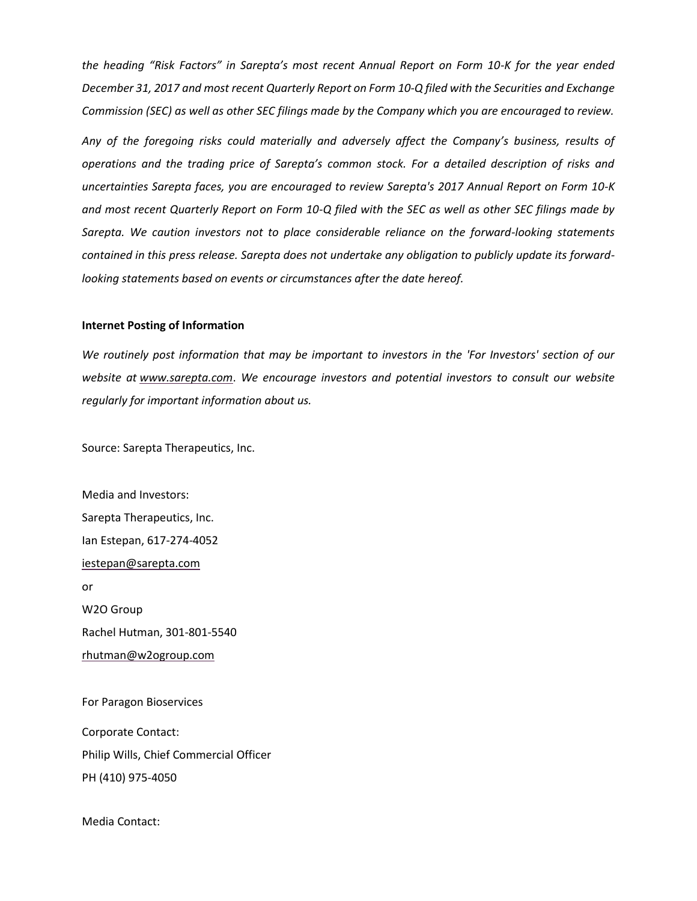*the heading "Risk Factors" in Sarepta's most recent Annual Report on Form 10-K for the year ended December 31, 2017 and most recent Quarterly Report on Form 10-Q filed with the Securities and Exchange Commission (SEC) as well as other SEC filings made by the Company which you are encouraged to review.*

*Any of the foregoing risks could materially and adversely affect the Company's business, results of operations and the trading price of Sarepta's common stock. For a detailed description of risks and uncertainties Sarepta faces, you are encouraged to review Sarepta's 2017 Annual Report on Form 10-K and most recent Quarterly Report on Form 10-Q filed with the SEC as well as other SEC filings made by Sarepta. We caution investors not to place considerable reliance on the forward-looking statements contained in this press release. Sarepta does not undertake any obligation to publicly update its forwardlooking statements based on events or circumstances after the date hereof.* 

## **Internet Posting of Information**

*We routinely post information that may be important to investors in the 'For Investors' section of our website at [www.sarepta.com](http://www.sarepta.com/)*. *We encourage investors and potential investors to consult our website regularly for important information about us.*

Source: Sarepta Therapeutics, Inc.

Media and Investors: Sarepta Therapeutics, Inc. Ian Estepan, 617-274-4052 [iestepan@sarepta.com](mailto:iestepan@sarepta.com) or W2O Group Rachel Hutman, 301-801-5540 [rhutman@w2ogroup.com](mailto:rhutman@w2ogroup.com)

For Paragon Bioservices Corporate Contact: Philip Wills, Chief Commercial Officer PH (410) 975-4050

Media Contact: